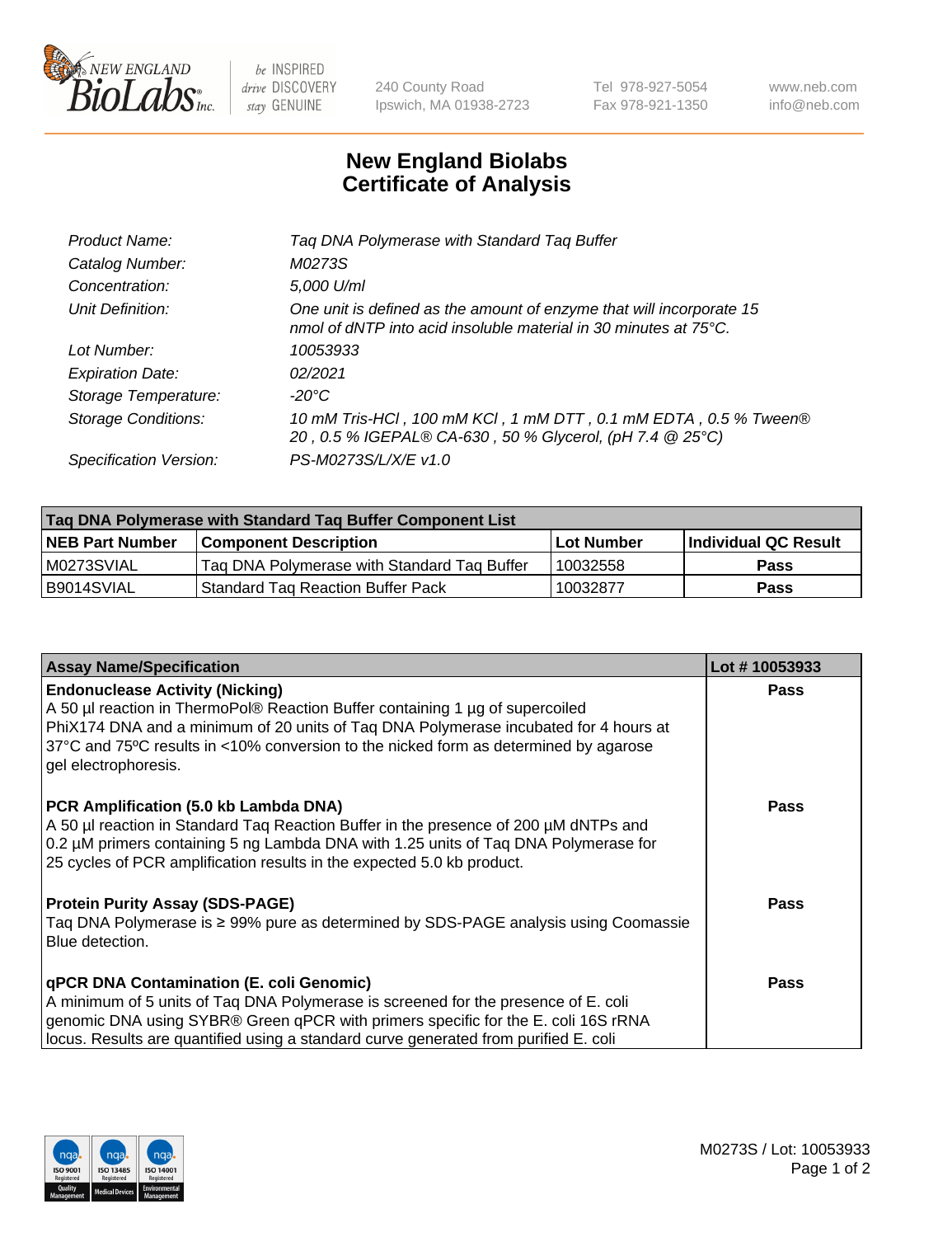

 $be$  INSPIRED drive DISCOVERY stay GENUINE

240 County Road Ipswich, MA 01938-2723 Tel 978-927-5054 Fax 978-921-1350 www.neb.com info@neb.com

## **New England Biolabs Certificate of Analysis**

| Product Name:              | Tag DNA Polymerase with Standard Tag Buffer                                                                                              |
|----------------------------|------------------------------------------------------------------------------------------------------------------------------------------|
| Catalog Number:            | M0273S                                                                                                                                   |
| Concentration:             | 5,000 U/ml                                                                                                                               |
| Unit Definition:           | One unit is defined as the amount of enzyme that will incorporate 15<br>nmol of dNTP into acid insoluble material in 30 minutes at 75°C. |
| Lot Number:                | 10053933                                                                                                                                 |
| <b>Expiration Date:</b>    | 02/2021                                                                                                                                  |
| Storage Temperature:       | $-20^{\circ}$ C                                                                                                                          |
| <b>Storage Conditions:</b> | 10 mM Tris-HCl, 100 mM KCl, 1 mM DTT, 0.1 mM EDTA, 0.5 % Tween®<br>20, 0.5 % IGEPAL® CA-630, 50 % Glycerol, (pH 7.4 @ 25°C)              |
| Specification Version:     | PS-M0273S/L/X/E v1.0                                                                                                                     |
|                            |                                                                                                                                          |

| Taq DNA Polymerase with Standard Taq Buffer Component List |                                             |                   |                      |  |
|------------------------------------------------------------|---------------------------------------------|-------------------|----------------------|--|
| <b>NEB Part Number</b>                                     | Component Description_                      | <b>Lot Number</b> | Individual QC Result |  |
| M0273SVIAL                                                 | Tag DNA Polymerase with Standard Tag Buffer | 10032558          | <b>Pass</b>          |  |
| B9014SVIAL                                                 | Standard Tag Reaction Buffer Pack           | 10032877          | Pass                 |  |

| <b>Assay Name/Specification</b>                                                                                                                                                                                                                                                                                                 | Lot #10053933 |
|---------------------------------------------------------------------------------------------------------------------------------------------------------------------------------------------------------------------------------------------------------------------------------------------------------------------------------|---------------|
| <b>Endonuclease Activity (Nicking)</b><br>A 50 µl reaction in ThermoPol® Reaction Buffer containing 1 µg of supercoiled<br>PhiX174 DNA and a minimum of 20 units of Tag DNA Polymerase incubated for 4 hours at<br>37°C and 75°C results in <10% conversion to the nicked form as determined by agarose<br>gel electrophoresis. | <b>Pass</b>   |
| PCR Amplification (5.0 kb Lambda DNA)<br>A 50 µl reaction in Standard Tag Reaction Buffer in the presence of 200 µM dNTPs and<br>0.2 µM primers containing 5 ng Lambda DNA with 1.25 units of Taq DNA Polymerase for<br>25 cycles of PCR amplification results in the expected 5.0 kb product.                                  | Pass          |
| <b>Protein Purity Assay (SDS-PAGE)</b><br>Taq DNA Polymerase is ≥ 99% pure as determined by SDS-PAGE analysis using Coomassie<br>Blue detection.                                                                                                                                                                                | Pass          |
| qPCR DNA Contamination (E. coli Genomic)<br>A minimum of 5 units of Taq DNA Polymerase is screened for the presence of E. coli<br>genomic DNA using SYBR® Green qPCR with primers specific for the E. coli 16S rRNA<br>locus. Results are quantified using a standard curve generated from purified E. coli                     | Pass          |